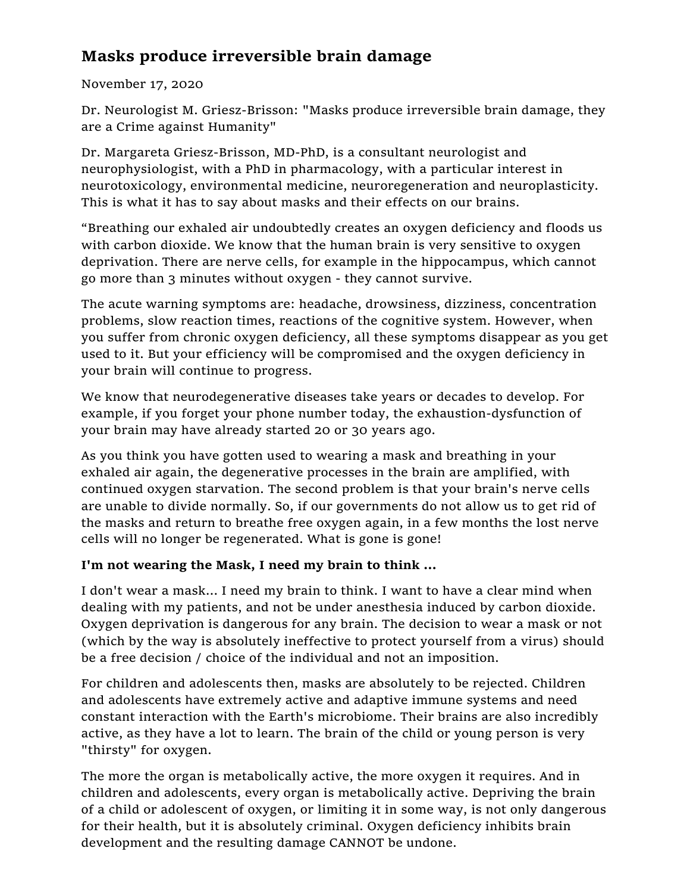## **Masks produce irreversible brain damage**

## November 17, 2020

Dr. Neurologist M. Griesz-Brisson: "Masks produce irreversible brain damage, they are a Crime against Humanity"

Dr. Margareta Griesz-Brisson, MD-PhD, is a consultant neurologist and neurophysiologist, with a PhD in pharmacology, with a particular interest in neurotoxicology, environmental medicine, neuroregeneration and neuroplasticity. This is what it has to say about masks and their effects on our brains.

"Breathing our exhaled air undoubtedly creates an oxygen deficiency and floods us with carbon dioxide. We know that the human brain is very sensitive to oxygen deprivation. There are nerve cells, for example in the hippocampus, which cannot go more than 3 minutes without oxygen - they cannot survive.

The acute warning symptoms are: headache, drowsiness, dizziness, concentration problems, slow reaction times, reactions of the cognitive system. However, when you suffer from chronic oxygen deficiency, all these symptoms disappear as you get used to it. But your efficiency will be compromised and the oxygen deficiency in your brain will continue to progress.

We know that neurodegenerative diseases take years or decades to develop. For example, if you forget your phone number today, the exhaustion-dysfunction of your brain may have already started 20 or 30 years ago.

As you think you have gotten used to wearing a mask and breathing in your exhaled air again, the degenerative processes in the brain are amplified, with continued oxygen starvation. The second problem is that your brain's nerve cells are unable to divide normally. So, if our governments do not allow us to get rid of the masks and return to breathe free oxygen again, in a few months the lost nerve cells will no longer be regenerated. What is gone is gone!

## **I'm not wearing the Mask, I need my brain to think ...**

I don't wear a mask… I need my brain to think. I want to have a clear mind when dealing with my patients, and not be under anesthesia induced by carbon dioxide. Oxygen deprivation is dangerous for any brain. The decision to wear a mask or not (which by the way is absolutely ineffective to protect yourself from a virus) should be a free decision / choice of the individual and not an imposition.

For children and adolescents then, masks are absolutely to be rejected. Children and adolescents have extremely active and adaptive immune systems and need constant interaction with the Earth's microbiome. Their brains are also incredibly active, as they have a lot to learn. The brain of the child or young person is very "thirsty" for oxygen.

The more the organ is metabolically active, the more oxygen it requires. And in children and adolescents, every organ is metabolically active. Depriving the brain of a child or adolescent of oxygen, or limiting it in some way, is not only dangerous for their health, but it is absolutely criminal. Oxygen deficiency inhibits brain development and the resulting damage CANNOT be undone.